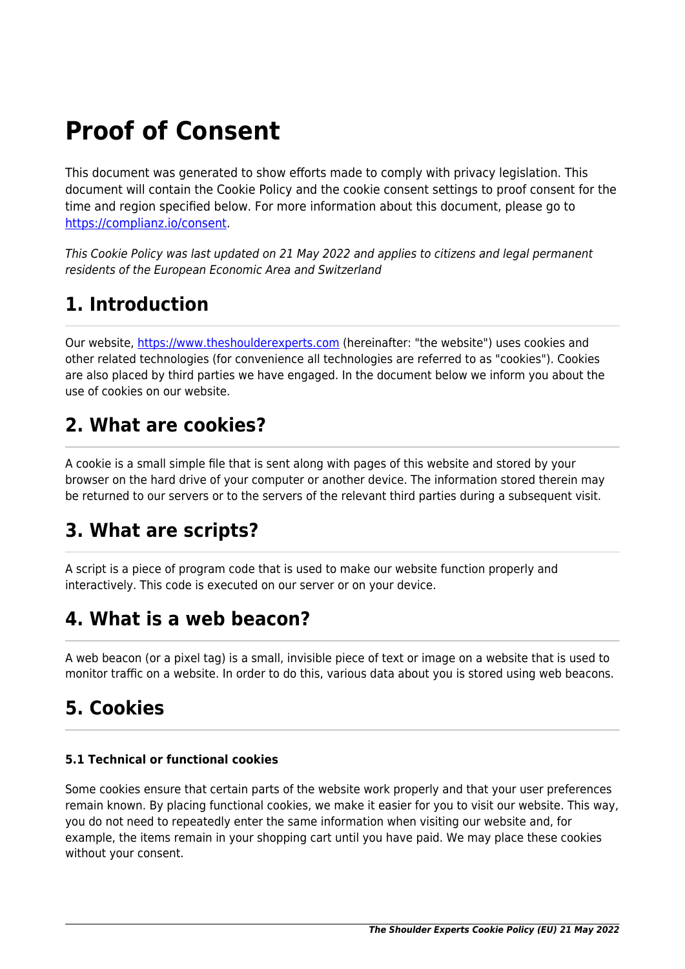# **Proof of Consent**

This document was generated to show efforts made to comply with privacy legislation. This document will contain the Cookie Policy and the cookie consent settings to proof consent for the time and region specified below. For more information about this document, please go to <https://complianz.io/consent>.

This Cookie Policy was last updated on 21 May 2022 and applies to citizens and legal permanent residents of the European Economic Area and Switzerland

## **1. Introduction**

Our website, <https://www.theshoulderexperts.com> (hereinafter: "the website") uses cookies and other related technologies (for convenience all technologies are referred to as "cookies"). Cookies are also placed by third parties we have engaged. In the document below we inform you about the use of cookies on our website.

### **2. What are cookies?**

A cookie is a small simple file that is sent along with pages of this website and stored by your browser on the hard drive of your computer or another device. The information stored therein may be returned to our servers or to the servers of the relevant third parties during a subsequent visit.

## **3. What are scripts?**

A script is a piece of program code that is used to make our website function properly and interactively. This code is executed on our server or on your device.

## **4. What is a web beacon?**

A web beacon (or a pixel tag) is a small, invisible piece of text or image on a website that is used to monitor traffic on a website. In order to do this, various data about you is stored using web beacons.

# **5. Cookies**

### **5.1 Technical or functional cookies**

Some cookies ensure that certain parts of the website work properly and that your user preferences remain known. By placing functional cookies, we make it easier for you to visit our website. This way, you do not need to repeatedly enter the same information when visiting our website and, for example, the items remain in your shopping cart until you have paid. We may place these cookies without your consent.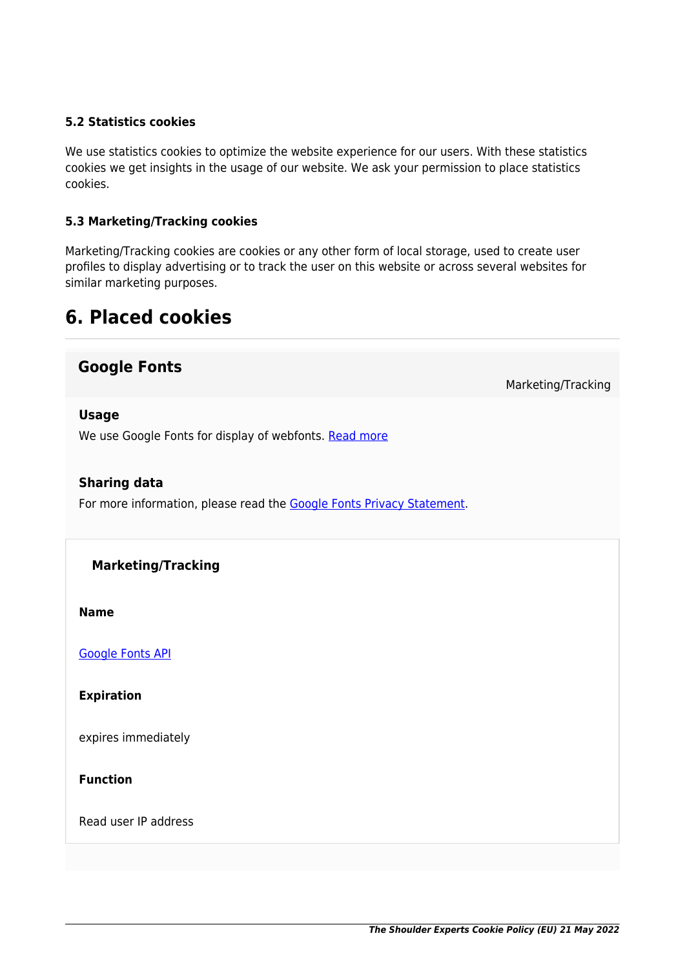#### **5.2 Statistics cookies**

We use statistics cookies to optimize the website experience for our users. With these statistics cookies we get insights in the usage of our website. We ask your permission to place statistics cookies.

#### **5.3 Marketing/Tracking cookies**

Marketing/Tracking cookies are cookies or any other form of local storage, used to create user profiles to display advertising or to track the user on this website or across several websites for similar marketing purposes.

### **6. Placed cookies**

### **Google Fonts**

Marketing/Tracking

#### **Usage**

We use Google Fonts for display of webfonts. [Read more](https://cookiedatabase.org/service/google-fonts/)

#### **Sharing data**

For more information, please read the [Google Fonts Privacy Statement](https://policies.google.com/privacy).

#### **Marketing/Tracking**

**Name**

[Google Fonts API](https://cookiedatabase.org/cookie/google-fonts/tcb_google_fonts/)

**Expiration**

expires immediately

**Function**

Read user IP address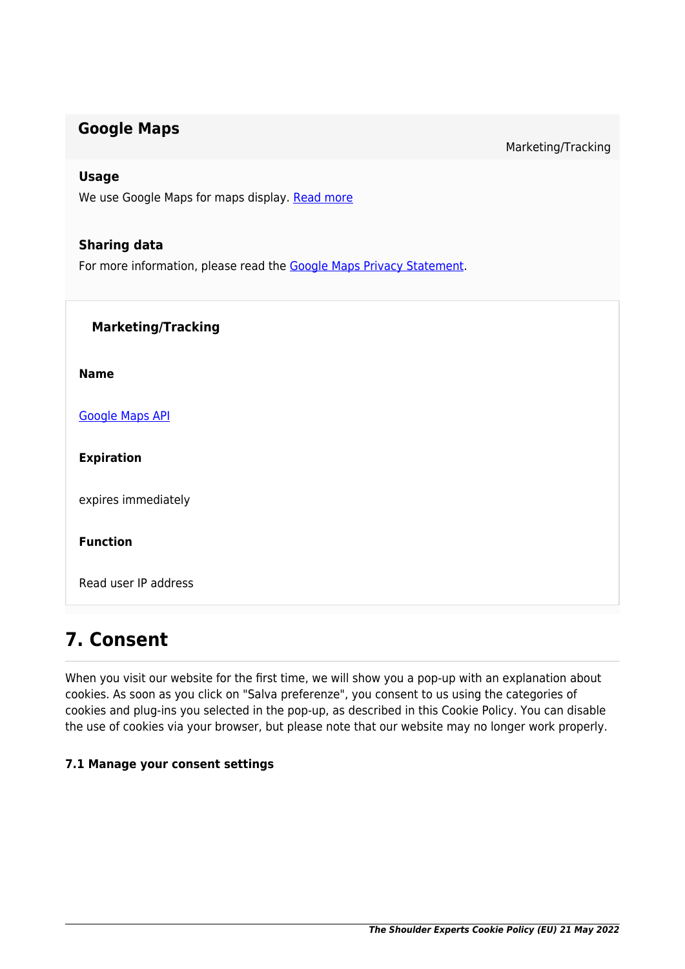### **Google Maps**

Marketing/Tracking

#### **Usage**

We use Google Maps for maps display. [Read more](https://cookiedatabase.org/service/google-maps/)

#### **Sharing data**

For more information, please read the [Google Maps Privacy Statement](https://policies.google.com/privacy).

| <b>Marketing/Tracking</b> |  |
|---------------------------|--|
| <b>Name</b>               |  |
| <b>Google Maps API</b>    |  |
| <b>Expiration</b>         |  |
| expires immediately       |  |
| <b>Function</b>           |  |
| Read user IP address      |  |
|                           |  |

### **7. Consent**

When you visit our website for the first time, we will show you a pop-up with an explanation about cookies. As soon as you click on "Salva preferenze", you consent to us using the categories of cookies and plug-ins you selected in the pop-up, as described in this Cookie Policy. You can disable the use of cookies via your browser, but please note that our website may no longer work properly.

#### **7.1 Manage your consent settings**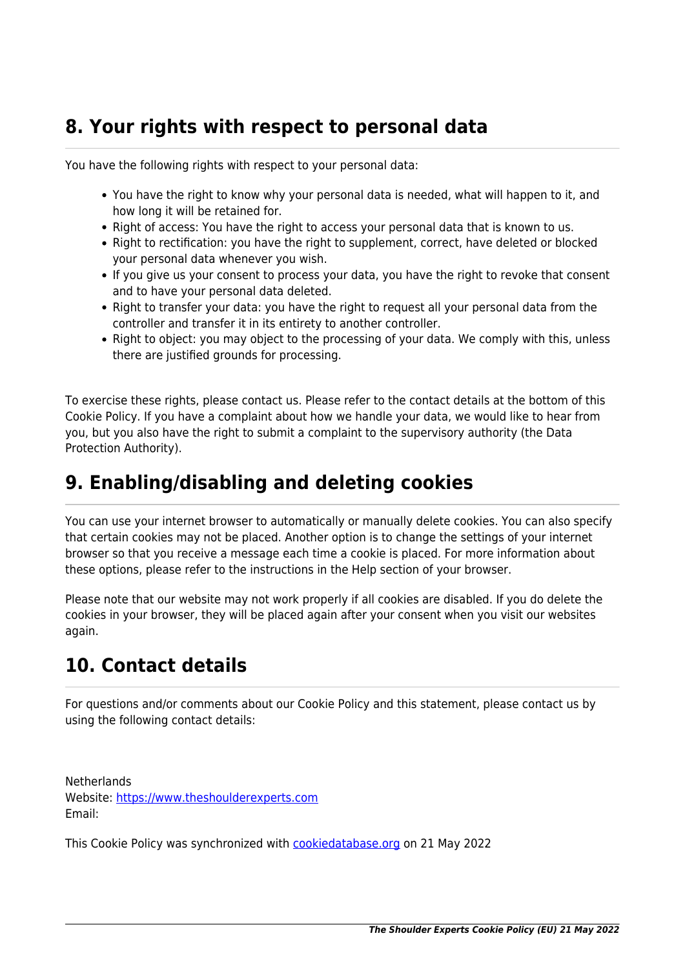### **8. Your rights with respect to personal data**

You have the following rights with respect to your personal data:

- You have the right to know why your personal data is needed, what will happen to it, and how long it will be retained for.
- Right of access: You have the right to access your personal data that is known to us.
- Right to rectification: you have the right to supplement, correct, have deleted or blocked your personal data whenever you wish.
- If you give us your consent to process your data, you have the right to revoke that consent and to have your personal data deleted.
- Right to transfer your data: you have the right to request all your personal data from the controller and transfer it in its entirety to another controller.
- Right to object: you may object to the processing of your data. We comply with this, unless there are justified grounds for processing.

To exercise these rights, please contact us. Please refer to the contact details at the bottom of this Cookie Policy. If you have a complaint about how we handle your data, we would like to hear from you, but you also have the right to submit a complaint to the supervisory authority (the Data Protection Authority).

## **9. Enabling/disabling and deleting cookies**

You can use your internet browser to automatically or manually delete cookies. You can also specify that certain cookies may not be placed. Another option is to change the settings of your internet browser so that you receive a message each time a cookie is placed. For more information about these options, please refer to the instructions in the Help section of your browser.

Please note that our website may not work properly if all cookies are disabled. If you do delete the cookies in your browser, they will be placed again after your consent when you visit our websites again.

## **10. Contact details**

For questions and/or comments about our Cookie Policy and this statement, please contact us by using the following contact details:

**Netherlands** Website:<https://www.theshoulderexperts.com> Email:

This Cookie Policy was synchronized with [cookiedatabase.org](https://cookiedatabase.org/) on 21 May 2022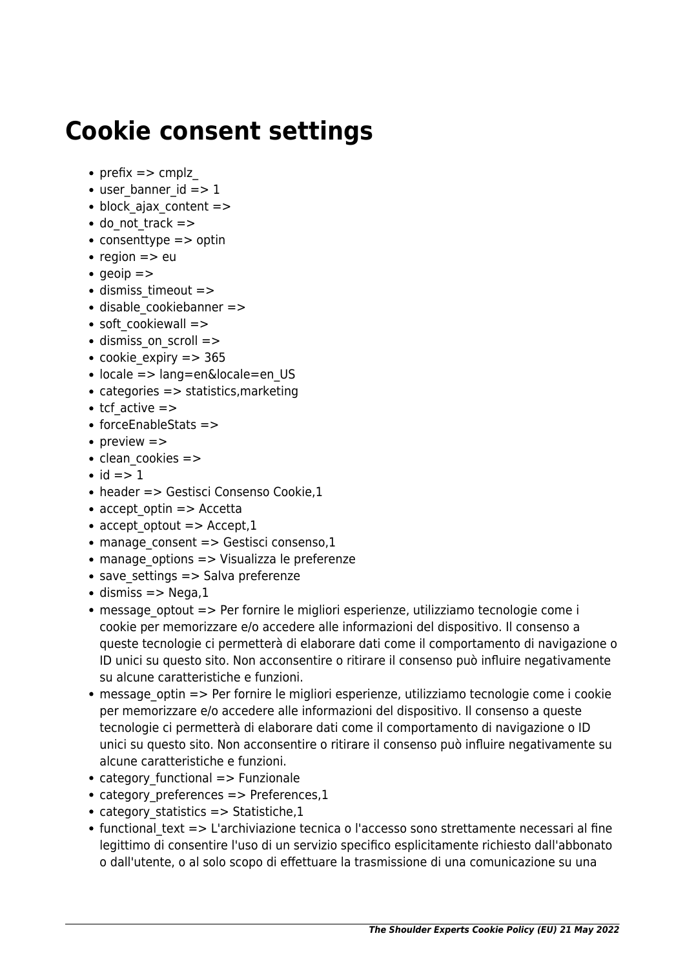# **Cookie consent settings**

- prefix  $\Rightarrow$  cmplz
- $\bullet$  user banner id  $\epsilon$  =  $> 1$
- $\bullet$  block ajax content  $=$  >
- do not track =>
- consenttype  $\equiv$  > optin
- region  $=>$  eu
- $q$  aeoip  $=$
- dismiss timeout =>
- disable cookiebanner =>
- soft cookiewall =>
- dismiss on scroll =>
- cookie expiry  $=$  > 365
- locale => lang=en&locale=en US
- categories => statistics, marketing
- $\bullet$  tcf active  $=>$
- forceEnableStats =>
- preview  $\Rightarrow$
- $\bullet$  clean cookies  $=$  >
- $\bullet$  id  $\rightleftharpoons$  1
- header => Gestisci Consenso Cookie,1
- accept optin => Accetta
- accept optout  $=$  > Accept, 1
- manage consent => Gestisci consenso,1
- manage options => Visualizza le preferenze
- $\bullet$  save settings => Salva preferenze
- $\bullet$  dismiss => Nega,1
- message optout => Per fornire le migliori esperienze, utilizziamo tecnologie come i cookie per memorizzare e/o accedere alle informazioni del dispositivo. Il consenso a queste tecnologie ci permetterà di elaborare dati come il comportamento di navigazione o ID unici su questo sito. Non acconsentire o ritirare il consenso può influire negativamente su alcune caratteristiche e funzioni.
- message optin => Per fornire le migliori esperienze, utilizziamo tecnologie come i cookie per memorizzare e/o accedere alle informazioni del dispositivo. Il consenso a queste tecnologie ci permetterà di elaborare dati come il comportamento di navigazione o ID unici su questo sito. Non acconsentire o ritirare il consenso può influire negativamente su alcune caratteristiche e funzioni.
- category functional => Funzionale
- category preferences => Preferences,1
- category statistics  $=$  > Statistiche,1
- functional text => L'archiviazione tecnica o l'accesso sono strettamente necessari al fine legittimo di consentire l'uso di un servizio specifico esplicitamente richiesto dall'abbonato o dall'utente, o al solo scopo di effettuare la trasmissione di una comunicazione su una